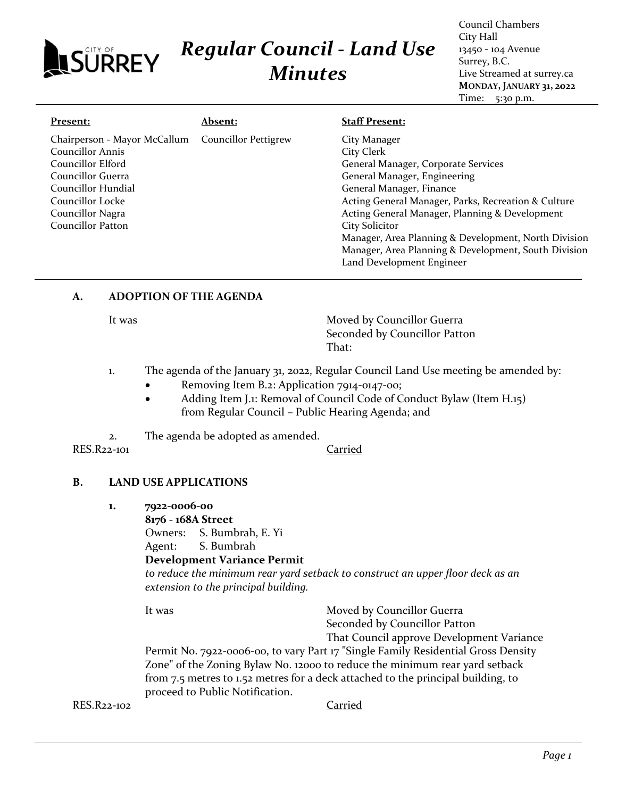#### City Hall *Regular Council - Land Use* 13450 - 104 Avenue **ISURREY** Surrey, B.C. *Minutes* Live Streamed at surrey.ca **MONDAY, JANUARY 31, 2022** Time: 5:30 p.m. **Present: Absent: Staff Present:** Chairperson - Mayor McCallum Councillor Pettigrew City Manager Councillor Annis City Clerk Councillor Elford General Manager, Corporate Services Councillor Guerra General Manager, Engineering Councillor Hundial General Manager, Finance Councillor Locke Acting General Manager, Parks, Recreation & Culture

Permit No. 7922-0006-00, to vary Part 17 "Single Family Residential Gross Density

Zone" of the Zoning Bylaw No. 12000 to reduce the minimum rear yard setback from 7.5 metres to 1.52 metres for a deck attached to the principal building, to proceed to Public Notification.

RES.R22-102 Carried

1. The agenda of the January 31, 2022, Regular Council Land Use meeting be amended by:

That:

City Solicitor

Land Development Engineer

Seconded by Councillor Patton

Seconded by Councillor Patton

That Council approve Development Variance

• Removing Item B.2: Application 7914-0147-00;

It was **It was** Moved by Councillor Guerra

- Adding Item J.1: Removal of Council Code of Conduct Bylaw (Item H.15) from Regular Council – Public Hearing Agenda; and
- 2. The agenda be adopted as amended.

RES.R22-101 Carried

Councillor Nagra Councillor Patton

#### **B. LAND USE APPLICATIONS**

**A. ADOPTION OF THE AGENDA**

**1. 7922-0006-00**

**8176 - 168A Street**

Owners: S. Bumbrah, E. Yi

*to reduce the minimum rear yard setback to construct an upper floor deck as an extension to the principal building.*

Agent: S. Bumbrah **Development Variance Permit**

It was Moved by Councillor Guerra

Council Chambers

Acting General Manager, Planning & Development

Manager, Area Planning & Development, North Division Manager, Area Planning & Development, South Division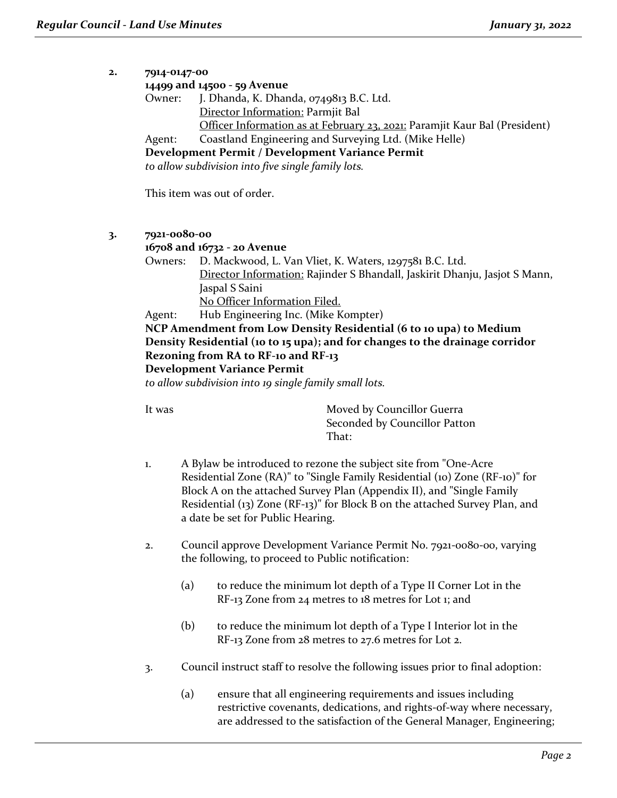| 2. |                                               | 7914-0147-00                                                                 |  |  |  |  |  |  |
|----|-----------------------------------------------|------------------------------------------------------------------------------|--|--|--|--|--|--|
|    |                                               | 14499 and 14500 - 59 Avenue                                                  |  |  |  |  |  |  |
|    | Owner:                                        | J. Dhanda, K. Dhanda, 0749813 B.C. Ltd.                                      |  |  |  |  |  |  |
|    |                                               | Director Information: Parmjit Bal                                            |  |  |  |  |  |  |
|    |                                               | Officer Information as at February 23, 2021: Paramjit Kaur Bal (President)   |  |  |  |  |  |  |
|    | Agent:                                        | Coastland Engineering and Surveying Ltd. (Mike Helle)                        |  |  |  |  |  |  |
|    |                                               | Development Permit / Development Variance Permit                             |  |  |  |  |  |  |
|    |                                               | to allow subdivision into five single family lots.                           |  |  |  |  |  |  |
|    |                                               |                                                                              |  |  |  |  |  |  |
|    |                                               | This item was out of order.                                                  |  |  |  |  |  |  |
| 3. |                                               | 7921-0080-00                                                                 |  |  |  |  |  |  |
|    |                                               | 16708 and 16732 - 20 Avenue                                                  |  |  |  |  |  |  |
|    | Owners:                                       | D. Mackwood, L. Van Vliet, K. Waters, 1297581 B.C. Ltd.                      |  |  |  |  |  |  |
|    |                                               | Director Information: Rajinder S Bhandall, Jaskirit Dhanju, Jasjot S Mann,   |  |  |  |  |  |  |
|    |                                               | Jaspal S Saini                                                               |  |  |  |  |  |  |
|    |                                               | No Officer Information Filed.                                                |  |  |  |  |  |  |
|    | Hub Engineering Inc. (Mike Kompter)<br>Agent: |                                                                              |  |  |  |  |  |  |
|    |                                               | NCP Amendment from Low Density Residential (6 to 10 upa) to Medium           |  |  |  |  |  |  |
|    |                                               | Density Residential (10 to 15 upa); and for changes to the drainage corridor |  |  |  |  |  |  |
|    |                                               | Rezoning from RA to RF-10 and RF-13                                          |  |  |  |  |  |  |
|    |                                               | <b>Development Variance Permit</b>                                           |  |  |  |  |  |  |
|    |                                               | to allow subdivision into 19 single family small lots.                       |  |  |  |  |  |  |
|    |                                               |                                                                              |  |  |  |  |  |  |
|    | It was                                        | Moved by Councillor Guerra                                                   |  |  |  |  |  |  |
|    |                                               | Seconded by Councillor Patton                                                |  |  |  |  |  |  |
|    |                                               | That:                                                                        |  |  |  |  |  |  |
|    |                                               |                                                                              |  |  |  |  |  |  |
|    | 1.                                            | A Bylaw be introduced to rezone the subject site from "One-Acre"             |  |  |  |  |  |  |
|    |                                               | Residential Zone (RA)" to "Single Family Residential (10) Zone (RF-10)" for  |  |  |  |  |  |  |
|    |                                               | Block A on the attached Survey Plan (Appendix II), and "Single Family        |  |  |  |  |  |  |
|    |                                               | Residential (13) Zone (RF-13)" for Block B on the attached Survey Plan, and  |  |  |  |  |  |  |
|    |                                               | a date be set for Public Hearing.                                            |  |  |  |  |  |  |
|    | 2.                                            | Council approve Development Variance Permit No. 7921-0080-00, varying        |  |  |  |  |  |  |
|    |                                               | the following, to proceed to Public notification:                            |  |  |  |  |  |  |
|    |                                               | (a)<br>to reduce the minimum lot depth of a Type II Corner Lot in the        |  |  |  |  |  |  |
|    |                                               | RF-13 Zone from 24 metres to 18 metres for Lot 1; and                        |  |  |  |  |  |  |
|    |                                               |                                                                              |  |  |  |  |  |  |

- (b) to reduce the minimum lot depth of a Type I Interior lot in the RF-13 Zone from 28 metres to 27.6 metres for Lot 2.
- 3. Council instruct staff to resolve the following issues prior to final adoption:
	- (a) ensure that all engineering requirements and issues including restrictive covenants, dedications, and rights-of-way where necessary, are addressed to the satisfaction of the General Manager, Engineering;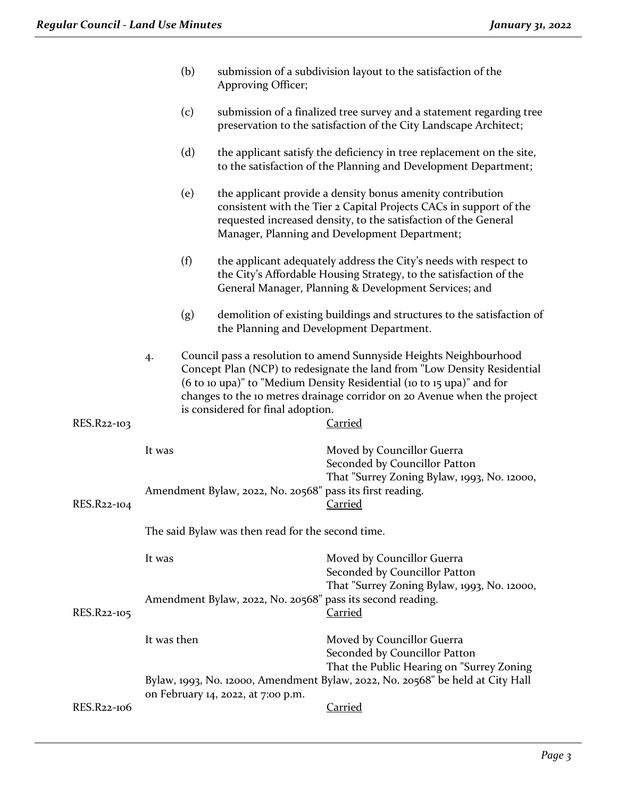|             | (b)<br>submission of a subdivision layout to the satisfaction of the<br>Approving Officer; |                                    |                                   |                                                                                                                                                                                                                                                                                                                       |
|-------------|--------------------------------------------------------------------------------------------|------------------------------------|-----------------------------------|-----------------------------------------------------------------------------------------------------------------------------------------------------------------------------------------------------------------------------------------------------------------------------------------------------------------------|
|             |                                                                                            | (c)                                |                                   | submission of a finalized tree survey and a statement regarding tree<br>preservation to the satisfaction of the City Landscape Architect;                                                                                                                                                                             |
|             |                                                                                            | (d)                                |                                   | the applicant satisfy the deficiency in tree replacement on the site,<br>to the satisfaction of the Planning and Development Department;                                                                                                                                                                              |
|             |                                                                                            | (e)                                |                                   | the applicant provide a density bonus amenity contribution<br>consistent with the Tier 2 Capital Projects CACs in support of the<br>requested increased density, to the satisfaction of the General<br>Manager, Planning and Development Department;                                                                  |
|             |                                                                                            | (f)                                |                                   | the applicant adequately address the City's needs with respect to<br>the City's Affordable Housing Strategy, to the satisfaction of the<br>General Manager, Planning & Development Services; and                                                                                                                      |
|             |                                                                                            | (g)                                |                                   | demolition of existing buildings and structures to the satisfaction of<br>the Planning and Development Department.                                                                                                                                                                                                    |
| RES.R22-103 | 4.                                                                                         |                                    | is considered for final adoption. | Council pass a resolution to amend Sunnyside Heights Neighbourhood<br>Concept Plan (NCP) to redesignate the land from "Low Density Residential<br>(6 to 10 upa)" to "Medium Density Residential (10 to 15 upa)" and for<br>changes to the 10 metres drainage corridor on 20 Avenue when the project<br><b>Carried</b> |
|             | It was                                                                                     |                                    |                                   | Moved by Councillor Guerra<br>Seconded by Councillor Patton                                                                                                                                                                                                                                                           |
| RES.R22-104 | Amendment Bylaw, 2022, No. 20568" pass its first reading.                                  |                                    |                                   | That "Surrey Zoning Bylaw, 1993, No. 12000,<br><b>Carried</b>                                                                                                                                                                                                                                                         |
|             | The said Bylaw was then read for the second time.                                          |                                    |                                   |                                                                                                                                                                                                                                                                                                                       |
|             | It was                                                                                     |                                    |                                   | Moved by Councillor Guerra<br>Seconded by Councillor Patton<br>That "Surrey Zoning Bylaw, 1993, No. 12000,                                                                                                                                                                                                            |
| RES.R22-105 | Amendment Bylaw, 2022, No. 20568" pass its second reading.                                 |                                    |                                   | Carried                                                                                                                                                                                                                                                                                                               |
|             | It was then                                                                                |                                    |                                   | Moved by Councillor Guerra<br>Seconded by Councillor Patton<br>That the Public Hearing on "Surrey Zoning                                                                                                                                                                                                              |
|             |                                                                                            | on February 14, 2022, at 7:00 p.m. |                                   | Bylaw, 1993, No. 12000, Amendment Bylaw, 2022, No. 20568" be held at City Hall                                                                                                                                                                                                                                        |
| RES.R22-106 |                                                                                            |                                    |                                   | <b>Carried</b>                                                                                                                                                                                                                                                                                                        |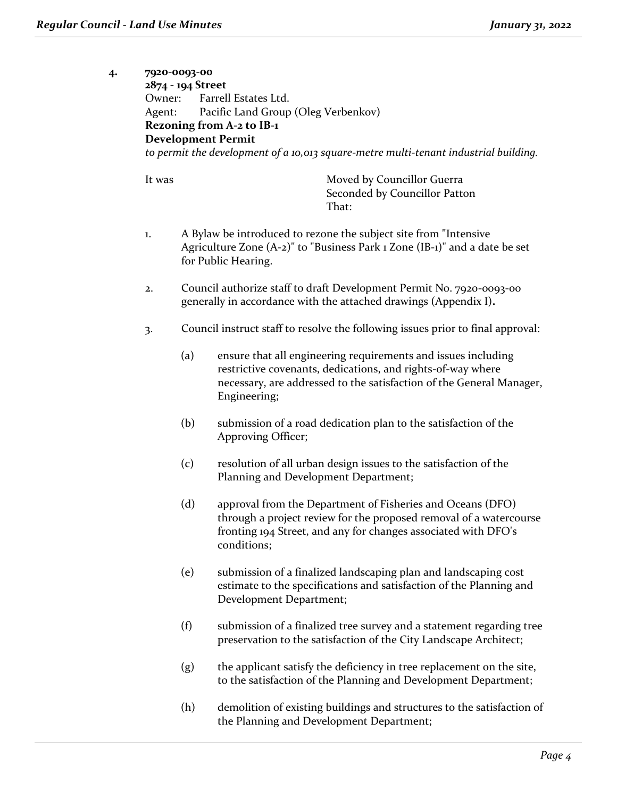| 4· | Owner:<br>Agent: | 7920-0093-00<br>2874 - 194 Street<br>Farrell Estates Ltd.<br>Pacific Land Group (Oleg Verbenkov)<br><b>Rezoning from A-2 to IB-1</b><br><b>Development Permit</b> |                                                                                      |                                                                                                                                                                                                      |  |  |
|----|------------------|-------------------------------------------------------------------------------------------------------------------------------------------------------------------|--------------------------------------------------------------------------------------|------------------------------------------------------------------------------------------------------------------------------------------------------------------------------------------------------|--|--|
|    |                  |                                                                                                                                                                   | to permit the development of a 10,013 square-metre multi-tenant industrial building. |                                                                                                                                                                                                      |  |  |
|    | It was           |                                                                                                                                                                   |                                                                                      | Moved by Councillor Guerra<br>Seconded by Councillor Patton<br>That:                                                                                                                                 |  |  |
|    | 1.               |                                                                                                                                                                   | for Public Hearing.                                                                  | A Bylaw be introduced to rezone the subject site from "Intensive<br>Agriculture Zone (A-2)" to "Business Park 1 Zone (IB-1)" and a date be set                                                       |  |  |
|    | 2.               |                                                                                                                                                                   |                                                                                      | Council authorize staff to draft Development Permit No. 7920-0093-00<br>generally in accordance with the attached drawings (Appendix I).                                                             |  |  |
|    | 3.               |                                                                                                                                                                   |                                                                                      | Council instruct staff to resolve the following issues prior to final approval:                                                                                                                      |  |  |
|    |                  | (a)                                                                                                                                                               | Engineering;                                                                         | ensure that all engineering requirements and issues including<br>restrictive covenants, dedications, and rights-of-way where<br>necessary, are addressed to the satisfaction of the General Manager, |  |  |
|    |                  | (b)                                                                                                                                                               | Approving Officer;                                                                   | submission of a road dedication plan to the satisfaction of the                                                                                                                                      |  |  |
|    |                  | (c)                                                                                                                                                               | Planning and Development Department;                                                 | resolution of all urban design issues to the satisfaction of the                                                                                                                                     |  |  |
|    |                  | (d)                                                                                                                                                               | conditions;                                                                          | approval from the Department of Fisheries and Oceans (DFO)<br>through a project review for the proposed removal of a watercourse<br>fronting 194 Street, and any for changes associated with DFO's   |  |  |
|    |                  | (e)                                                                                                                                                               | Development Department;                                                              | submission of a finalized landscaping plan and landscaping cost<br>estimate to the specifications and satisfaction of the Planning and                                                               |  |  |
|    |                  | (f)                                                                                                                                                               |                                                                                      | submission of a finalized tree survey and a statement regarding tree<br>preservation to the satisfaction of the City Landscape Architect;                                                            |  |  |
|    |                  | (g)                                                                                                                                                               |                                                                                      | the applicant satisfy the deficiency in tree replacement on the site,<br>to the satisfaction of the Planning and Development Department;                                                             |  |  |
|    |                  | (h)                                                                                                                                                               |                                                                                      | demolition of existing buildings and structures to the satisfaction of<br>the Planning and Development Department;                                                                                   |  |  |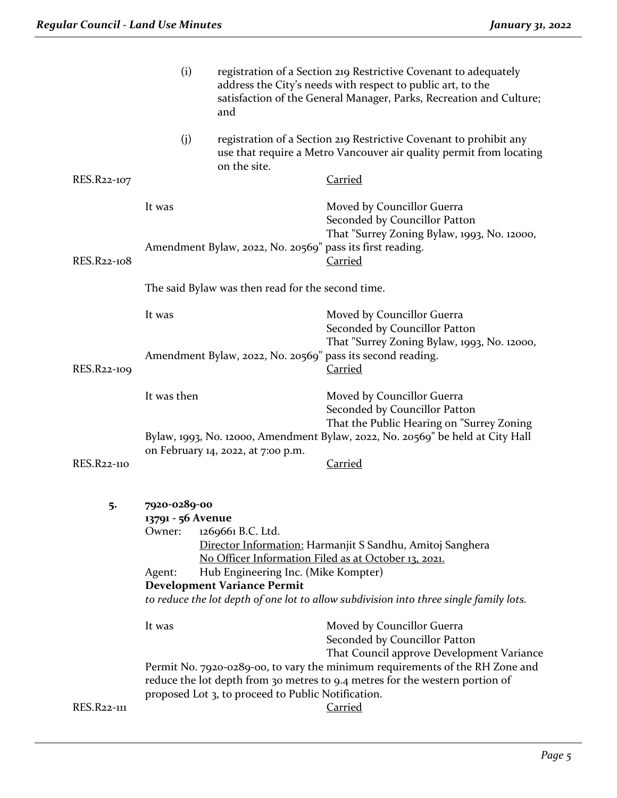|                    | (i)                                                                                                                                                                                                                                   | registration of a Section 219 Restrictive Covenant to adequately<br>address the City's needs with respect to public art, to the<br>satisfaction of the General Manager, Parks, Recreation and Culture;<br>and |                                                                                                                                                                                                                             |
|--------------------|---------------------------------------------------------------------------------------------------------------------------------------------------------------------------------------------------------------------------------------|---------------------------------------------------------------------------------------------------------------------------------------------------------------------------------------------------------------|-----------------------------------------------------------------------------------------------------------------------------------------------------------------------------------------------------------------------------|
|                    | (j)                                                                                                                                                                                                                                   | on the site.                                                                                                                                                                                                  | registration of a Section 219 Restrictive Covenant to prohibit any<br>use that require a Metro Vancouver air quality permit from locating                                                                                   |
| RES.R22-107        |                                                                                                                                                                                                                                       |                                                                                                                                                                                                               | <u>Carried</u>                                                                                                                                                                                                              |
|                    | It was                                                                                                                                                                                                                                |                                                                                                                                                                                                               | Moved by Councillor Guerra<br>Seconded by Councillor Patton<br>That "Surrey Zoning Bylaw, 1993, No. 12000,                                                                                                                  |
| RES.R22-108        | Amendment Bylaw, 2022, No. 20569" pass its first reading.                                                                                                                                                                             |                                                                                                                                                                                                               | <b>Carried</b>                                                                                                                                                                                                              |
|                    |                                                                                                                                                                                                                                       | The said Bylaw was then read for the second time.                                                                                                                                                             |                                                                                                                                                                                                                             |
|                    | It was                                                                                                                                                                                                                                |                                                                                                                                                                                                               | Moved by Councillor Guerra<br>Seconded by Councillor Patton<br>That "Surrey Zoning Bylaw, 1993, No. 12000,                                                                                                                  |
| RES.R22-109        | Amendment Bylaw, 2022, No. 20569" pass its second reading.                                                                                                                                                                            |                                                                                                                                                                                                               | <b>Carried</b>                                                                                                                                                                                                              |
|                    | It was then                                                                                                                                                                                                                           |                                                                                                                                                                                                               | Moved by Councillor Guerra<br>Seconded by Councillor Patton<br>That the Public Hearing on "Surrey Zoning                                                                                                                    |
| <b>RES.R22-110</b> | Bylaw, 1993, No. 12000, Amendment Bylaw, 2022, No. 20569" be held at City Hall<br>on February 14, 2022, at 7:00 p.m.                                                                                                                  |                                                                                                                                                                                                               | <b>Carried</b>                                                                                                                                                                                                              |
|                    |                                                                                                                                                                                                                                       |                                                                                                                                                                                                               |                                                                                                                                                                                                                             |
| 5.                 | 7920-0289-00<br>13791 - 56 Avenue<br>Owner:                                                                                                                                                                                           | 1269661 B.C. Ltd.                                                                                                                                                                                             | Director Information: Harmanjit S Sandhu, Amitoj Sanghera                                                                                                                                                                   |
|                    | No Officer Information Filed as at October 13, 2021.<br>Hub Engineering Inc. (Mike Kompter)<br>Agent:<br><b>Development Variance Permit</b><br>to reduce the lot depth of one lot to allow subdivision into three single family lots. |                                                                                                                                                                                                               |                                                                                                                                                                                                                             |
|                    | It was                                                                                                                                                                                                                                |                                                                                                                                                                                                               | Moved by Councillor Guerra<br>Seconded by Councillor Patton                                                                                                                                                                 |
| RES.R22-111        |                                                                                                                                                                                                                                       | proposed Lot 3, to proceed to Public Notification.                                                                                                                                                            | That Council approve Development Variance<br>Permit No. 7920-0289-00, to vary the minimum requirements of the RH Zone and<br>reduce the lot depth from 30 metres to 9.4 metres for the western portion of<br><b>Carried</b> |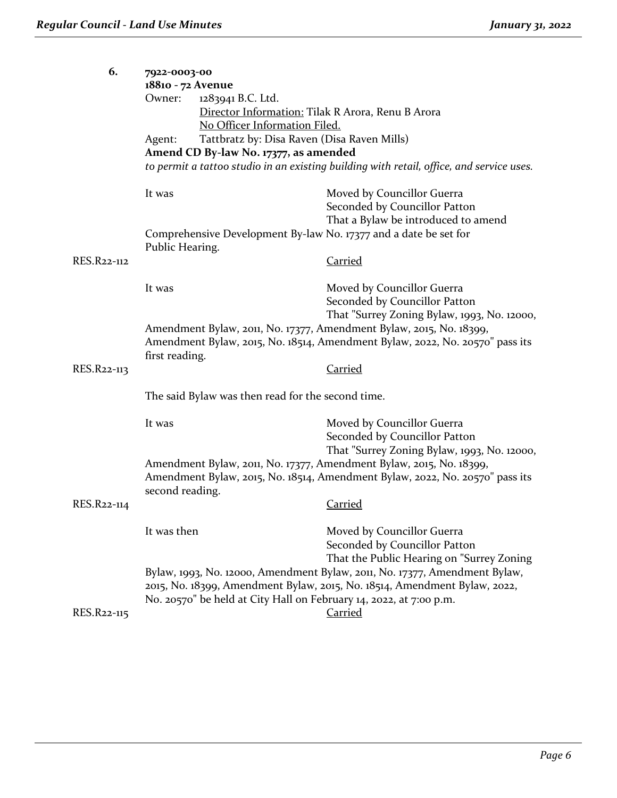| 6.          | 7922-0003-00                                                                        |                                                                                          |  |  |  |
|-------------|-------------------------------------------------------------------------------------|------------------------------------------------------------------------------------------|--|--|--|
|             | 18810 - 72 Avenue                                                                   |                                                                                          |  |  |  |
|             | 1283941 B.C. Ltd.<br>Owner:                                                         |                                                                                          |  |  |  |
|             | Director Information: Tilak R Arora, Renu B Arora                                   |                                                                                          |  |  |  |
|             | No Officer Information Filed.                                                       |                                                                                          |  |  |  |
|             | Tattbratz by: Disa Raven (Disa Raven Mills)<br>Agent:                               |                                                                                          |  |  |  |
|             | Amend CD By-law No. 17377, as amended                                               |                                                                                          |  |  |  |
|             |                                                                                     | to permit a tattoo studio in an existing building with retail, office, and service uses. |  |  |  |
|             | It was                                                                              | Moved by Councillor Guerra                                                               |  |  |  |
|             |                                                                                     | Seconded by Councillor Patton                                                            |  |  |  |
|             |                                                                                     | That a Bylaw be introduced to amend                                                      |  |  |  |
|             | Comprehensive Development By-law No. 17377 and a date be set for<br>Public Hearing. |                                                                                          |  |  |  |
| RES.R22-112 |                                                                                     | <b>Carried</b>                                                                           |  |  |  |
|             | It was                                                                              | Moved by Councillor Guerra                                                               |  |  |  |
|             |                                                                                     | Seconded by Councillor Patton                                                            |  |  |  |
|             |                                                                                     | That "Surrey Zoning Bylaw, 1993, No. 12000,                                              |  |  |  |
|             | Amendment Bylaw, 2011, No. 17377, Amendment Bylaw, 2015, No. 18399,                 |                                                                                          |  |  |  |
|             | Amendment Bylaw, 2015, No. 18514, Amendment Bylaw, 2022, No. 20570" pass its        |                                                                                          |  |  |  |
|             | first reading.                                                                      |                                                                                          |  |  |  |
| RES.R22-113 |                                                                                     | <b>Carried</b>                                                                           |  |  |  |
|             | The said Bylaw was then read for the second time.                                   |                                                                                          |  |  |  |
|             | It was                                                                              | Moved by Councillor Guerra                                                               |  |  |  |
|             |                                                                                     | Seconded by Councillor Patton                                                            |  |  |  |
|             |                                                                                     | That "Surrey Zoning Bylaw, 1993, No. 12000,                                              |  |  |  |
|             | Amendment Bylaw, 2011, No. 17377, Amendment Bylaw, 2015, No. 18399,                 |                                                                                          |  |  |  |
|             | Amendment Bylaw, 2015, No. 18514, Amendment Bylaw, 2022, No. 20570" pass its        |                                                                                          |  |  |  |
|             | second reading.                                                                     |                                                                                          |  |  |  |
| RES.R22-114 |                                                                                     | <b>Carried</b>                                                                           |  |  |  |
|             | It was then                                                                         | Moved by Councillor Guerra                                                               |  |  |  |
|             |                                                                                     | Seconded by Councillor Patton                                                            |  |  |  |
|             |                                                                                     | That the Public Hearing on "Surrey Zoning                                                |  |  |  |
|             |                                                                                     | Bylaw, 1993, No. 12000, Amendment Bylaw, 2011, No. 17377, Amendment Bylaw,               |  |  |  |
|             | 2015, No. 18399, Amendment Bylaw, 2015, No. 18514, Amendment Bylaw, 2022,           |                                                                                          |  |  |  |
|             | No. 20570" be held at City Hall on February 14, 2022, at 7:00 p.m.                  |                                                                                          |  |  |  |
| RES.R22-115 |                                                                                     | Carried                                                                                  |  |  |  |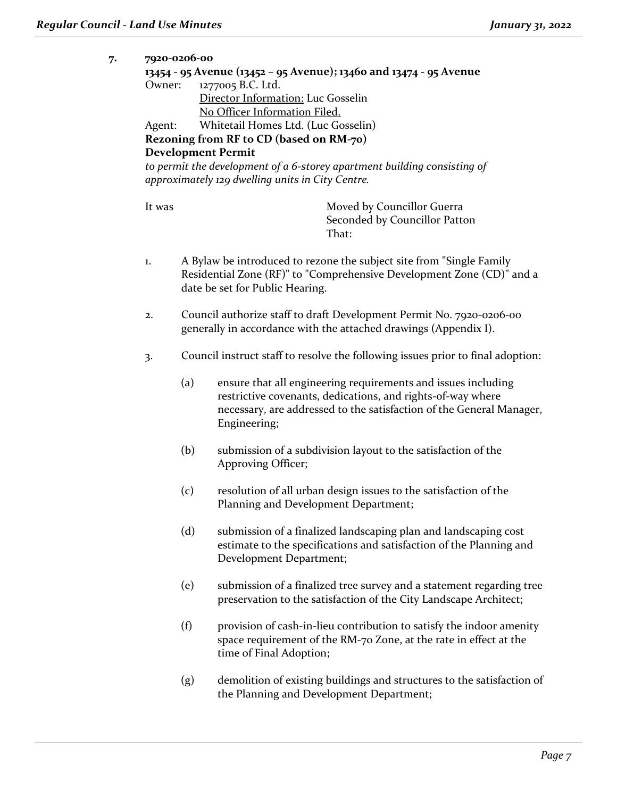**7. 7920-0206-00**

|                               | 7920-0206-00                                                       |                                                                                                                              |  |  |  |
|-------------------------------|--------------------------------------------------------------------|------------------------------------------------------------------------------------------------------------------------------|--|--|--|
|                               | 13454 - 95 Avenue (13452 – 95 Avenue); 13460 and 13474 - 95 Avenue |                                                                                                                              |  |  |  |
| Owner:                        |                                                                    | 1277005 B.C. Ltd.                                                                                                            |  |  |  |
|                               |                                                                    | Director Information: Luc Gosselin                                                                                           |  |  |  |
| No Officer Information Filed. |                                                                    |                                                                                                                              |  |  |  |
| Agent:                        |                                                                    | Whitetail Homes Ltd. (Luc Gosselin)                                                                                          |  |  |  |
|                               |                                                                    | Rezoning from RF to CD (based on RM-70)                                                                                      |  |  |  |
|                               |                                                                    | <b>Development Permit</b>                                                                                                    |  |  |  |
|                               |                                                                    | to permit the development of a 6-storey apartment building consisting of<br>approximately 129 dwelling units in City Centre. |  |  |  |
|                               |                                                                    |                                                                                                                              |  |  |  |
| It was                        |                                                                    | Moved by Councillor Guerra                                                                                                   |  |  |  |
|                               |                                                                    | Seconded by Councillor Patton<br>That:                                                                                       |  |  |  |
|                               |                                                                    |                                                                                                                              |  |  |  |
| 1.                            |                                                                    | A Bylaw be introduced to rezone the subject site from "Single Family                                                         |  |  |  |
|                               |                                                                    | Residential Zone (RF)" to "Comprehensive Development Zone (CD)" and a                                                        |  |  |  |
|                               |                                                                    | date be set for Public Hearing.                                                                                              |  |  |  |
|                               |                                                                    |                                                                                                                              |  |  |  |
| 2.                            |                                                                    | Council authorize staff to draft Development Permit No. 7920-0206-00                                                         |  |  |  |
|                               | generally in accordance with the attached drawings (Appendix I).   |                                                                                                                              |  |  |  |
|                               |                                                                    |                                                                                                                              |  |  |  |
| 3.                            |                                                                    | Council instruct staff to resolve the following issues prior to final adoption:                                              |  |  |  |
|                               | (a)                                                                | ensure that all engineering requirements and issues including                                                                |  |  |  |
|                               |                                                                    | restrictive covenants, dedications, and rights-of-way where                                                                  |  |  |  |
|                               |                                                                    | necessary, are addressed to the satisfaction of the General Manager,                                                         |  |  |  |
|                               | Engineering;                                                       |                                                                                                                              |  |  |  |
|                               |                                                                    |                                                                                                                              |  |  |  |
|                               | (b)                                                                | submission of a subdivision layout to the satisfaction of the                                                                |  |  |  |
|                               |                                                                    | Approving Officer;                                                                                                           |  |  |  |
|                               |                                                                    |                                                                                                                              |  |  |  |
|                               | (c)                                                                | resolution of all urban design issues to the satisfaction of the                                                             |  |  |  |
|                               |                                                                    | Planning and Development Department;                                                                                         |  |  |  |
|                               |                                                                    |                                                                                                                              |  |  |  |
|                               | (d)                                                                | submission of a finalized landscaping plan and landscaping cost                                                              |  |  |  |
|                               |                                                                    | estimate to the specifications and satisfaction of the Planning and                                                          |  |  |  |
|                               |                                                                    | Development Department;                                                                                                      |  |  |  |
|                               |                                                                    |                                                                                                                              |  |  |  |
|                               | (e)                                                                | submission of a finalized tree survey and a statement regarding tree                                                         |  |  |  |
|                               |                                                                    | preservation to the satisfaction of the City Landscape Architect;                                                            |  |  |  |
|                               |                                                                    |                                                                                                                              |  |  |  |
|                               | (f)                                                                | provision of cash-in-lieu contribution to satisfy the indoor amenity                                                         |  |  |  |
|                               |                                                                    | space requirement of the RM-70 Zone, at the rate in effect at the                                                            |  |  |  |
|                               |                                                                    | time of Final Adoption;                                                                                                      |  |  |  |
|                               |                                                                    |                                                                                                                              |  |  |  |
|                               | (g)                                                                | demolition of existing buildings and structures to the satisfaction of                                                       |  |  |  |
|                               |                                                                    | the Planning and Development Department;                                                                                     |  |  |  |
|                               |                                                                    |                                                                                                                              |  |  |  |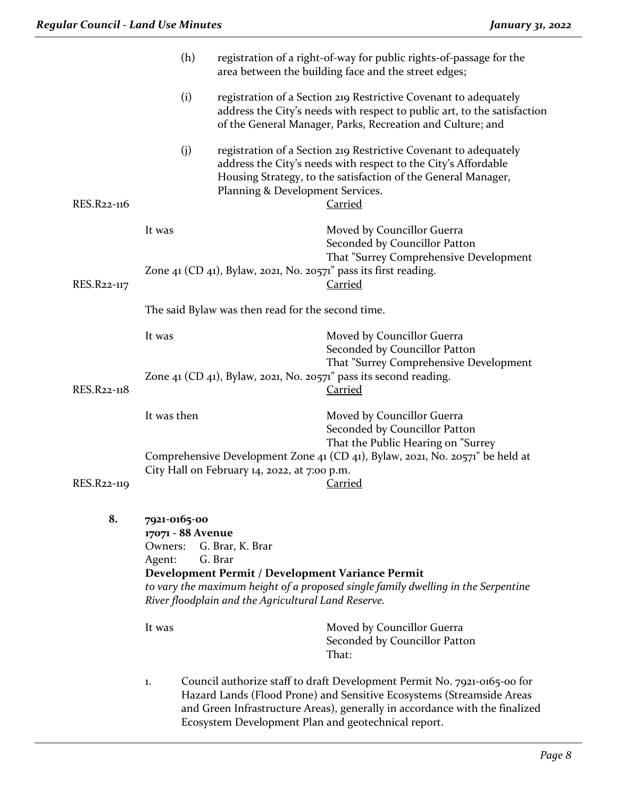|             | (h)<br>registration of a right-of-way for public rights-of-passage for the<br>area between the building face and the street edges;                                                                                                                                                 |                                              |                                                                                                                                                                                                                                                                                         |  |
|-------------|------------------------------------------------------------------------------------------------------------------------------------------------------------------------------------------------------------------------------------------------------------------------------------|----------------------------------------------|-----------------------------------------------------------------------------------------------------------------------------------------------------------------------------------------------------------------------------------------------------------------------------------------|--|
|             | (i)<br>registration of a Section 219 Restrictive Covenant to adequately<br>address the City's needs with respect to public art, to the satisfaction<br>of the General Manager, Parks, Recreation and Culture; and                                                                  |                                              |                                                                                                                                                                                                                                                                                         |  |
| RES.R22-116 | (i)                                                                                                                                                                                                                                                                                | Planning & Development Services.             | registration of a Section 219 Restrictive Covenant to adequately<br>address the City's needs with respect to the City's Affordable<br>Housing Strategy, to the satisfaction of the General Manager,<br><b>Carried</b>                                                                   |  |
|             | It was                                                                                                                                                                                                                                                                             |                                              | Moved by Councillor Guerra<br>Seconded by Councillor Patton<br>That "Surrey Comprehensive Development                                                                                                                                                                                   |  |
| RES.R22-117 | Zone 41 (CD 41), Bylaw, 2021, No. 20571" pass its first reading.                                                                                                                                                                                                                   |                                              | <b>Carried</b>                                                                                                                                                                                                                                                                          |  |
|             | The said Bylaw was then read for the second time.                                                                                                                                                                                                                                  |                                              |                                                                                                                                                                                                                                                                                         |  |
|             | It was                                                                                                                                                                                                                                                                             |                                              | Moved by Councillor Guerra<br>Seconded by Councillor Patton<br>That "Surrey Comprehensive Development                                                                                                                                                                                   |  |
| RES.R22-118 |                                                                                                                                                                                                                                                                                    |                                              | Zone 41 (CD 41), Bylaw, 2021, No. 20571" pass its second reading.<br><b>Carried</b>                                                                                                                                                                                                     |  |
|             | It was then                                                                                                                                                                                                                                                                        |                                              | Moved by Councillor Guerra<br>Seconded by Councillor Patton<br>That the Public Hearing on "Surrey                                                                                                                                                                                       |  |
| RES.R22-119 |                                                                                                                                                                                                                                                                                    | City Hall on February 14, 2022, at 7:00 p.m. | Comprehensive Development Zone 41 (CD 41), Bylaw, 2021, No. 20571" be held at<br>Carried                                                                                                                                                                                                |  |
| 8.          | 7921-0165-00<br>17071 - 88 Avenue<br>Owners: G. Brar, K. Brar<br>G. Brar<br>Agent:<br>Development Permit / Development Variance Permit<br>to vary the maximum height of a proposed single family dwelling in the Serpentine<br>River floodplain and the Agricultural Land Reserve. |                                              |                                                                                                                                                                                                                                                                                         |  |
|             | It was                                                                                                                                                                                                                                                                             |                                              | Moved by Councillor Guerra<br>Seconded by Councillor Patton<br>That:                                                                                                                                                                                                                    |  |
|             | 1.                                                                                                                                                                                                                                                                                 |                                              | Council authorize staff to draft Development Permit No. 7921-0165-00 for<br>Hazard Lands (Flood Prone) and Sensitive Ecosystems (Streamside Areas<br>and Green Infrastructure Areas), generally in accordance with the finalized<br>Ecosystem Development Plan and geotechnical report. |  |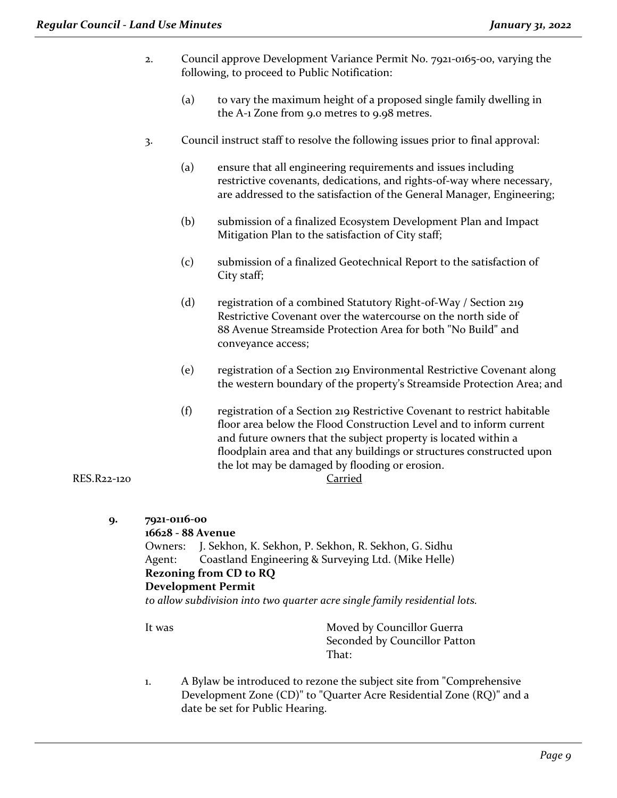- 2. Council approve Development Variance Permit No. 7921-0165-00, varying the following, to proceed to Public Notification:
	- (a) to vary the maximum height of a proposed single family dwelling in the A-1 Zone from 9.0 metres to 9.98 metres.
- 3. Council instruct staff to resolve the following issues prior to final approval:
	- (a) ensure that all engineering requirements and issues including restrictive covenants, dedications, and rights-of-way where necessary, are addressed to the satisfaction of the General Manager, Engineering;
	- (b) submission of a finalized Ecosystem Development Plan and Impact Mitigation Plan to the satisfaction of City staff;
	- (c) submission of a finalized Geotechnical Report to the satisfaction of City staff;
	- (d) registration of a combined Statutory Right-of-Way / Section 219 Restrictive Covenant over the watercourse on the north side of 88 Avenue Streamside Protection Area for both "No Build" and conveyance access;
	- (e) registration of a Section 219 Environmental Restrictive Covenant along the western boundary of the property's Streamside Protection Area; and
	- (f) registration of a Section 219 Restrictive Covenant to restrict habitable floor area below the Flood Construction Level and to inform current and future owners that the subject property is located within a floodplain area and that any buildings or structures constructed upon the lot may be damaged by flooding or erosion.

#### RES.R22-120 Carried

- **9. 7921-0116-00 16628 - 88 Avenue** Owners: J. Sekhon, K. Sekhon, P. Sekhon, R. Sekhon, G. Sidhu Agent: Coastland Engineering & Surveying Ltd. (Mike Helle) **Rezoning from CD to RQ Development Permit**  *to allow subdivision into two quarter acre single family residential lots.* It was Moved by Councillor Guerra Seconded by Councillor Patton
	- 1. A Bylaw be introduced to rezone the subject site from "Comprehensive Development Zone (CD)" to "Quarter Acre Residential Zone (RQ)" and a date be set for Public Hearing.

That: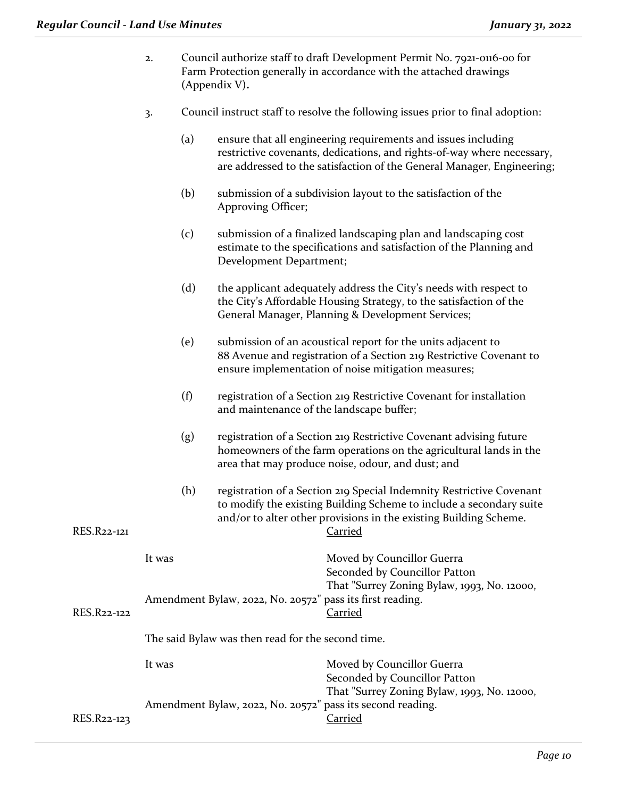- 2. Council authorize staff to draft Development Permit No. 7921-0116-00 for Farm Protection generally in accordance with the attached drawings (Appendix V)**.**
- 3. Council instruct staff to resolve the following issues prior to final adoption:
	- (a) ensure that all engineering requirements and issues including restrictive covenants, dedications, and rights-of-way where necessary, are addressed to the satisfaction of the General Manager, Engineering;
	- (b) submission of a subdivision layout to the satisfaction of the Approving Officer;
	- (c) submission of a finalized landscaping plan and landscaping cost estimate to the specifications and satisfaction of the Planning and Development Department;
	- (d) the applicant adequately address the City's needs with respect to the City's Affordable Housing Strategy, to the satisfaction of the General Manager, Planning & Development Services;
	- (e) submission of an acoustical report for the units adjacent to 88 Avenue and registration of a Section 219 Restrictive Covenant to ensure implementation of noise mitigation measures;
	- (f) registration of a Section 219 Restrictive Covenant for installation and maintenance of the landscape buffer;
	- (g) registration of a Section 219 Restrictive Covenant advising future homeowners of the farm operations on the agricultural lands in the area that may produce noise, odour, and dust; and
- (h) registration of a Section 219 Special Indemnity Restrictive Covenant to modify the existing Building Scheme to include a secondary suite and/or to alter other provisions in the existing Building Scheme. RES.R22-121 Carried

| RES.R22-122 | It was<br>Amendment Bylaw, 2022, No. 20572" pass its first reading. | Moved by Councillor Guerra<br>Seconded by Councillor Patton<br>That "Surrey Zoning Bylaw, 1993, No. 12000,<br>Carried |
|-------------|---------------------------------------------------------------------|-----------------------------------------------------------------------------------------------------------------------|
|             | The said Bylaw was then read for the second time.                   |                                                                                                                       |
|             | lt was                                                              | Moved by Councillor Guerra                                                                                            |

|             | IL WAS                                                     | <b>NOVEW</b> Dy COUNCING GUELLA             |
|-------------|------------------------------------------------------------|---------------------------------------------|
|             |                                                            | Seconded by Councillor Patton               |
|             |                                                            | That "Surrey Zoning Bylaw, 1993, No. 12000, |
|             | Amendment Bylaw, 2022, No. 20572" pass its second reading. |                                             |
| RES.R22-123 |                                                            | Carried                                     |
|             |                                                            |                                             |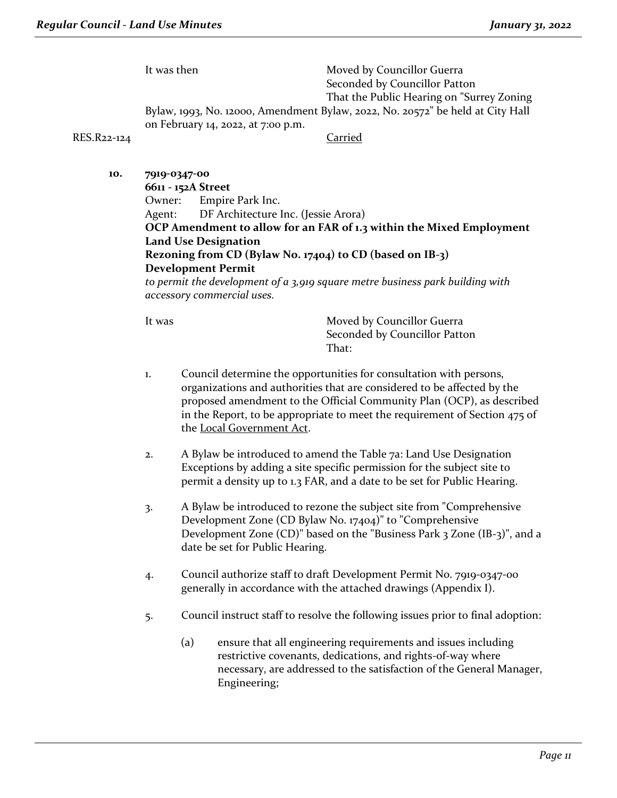It was then Moved by Councillor Guerra Seconded by Councillor Patton That the Public Hearing on "Surrey Zoning Bylaw, 1993, No. 12000, Amendment Bylaw, 2022, No. 20572" be held at City Hall on February 14, 2022, at 7:00 p.m.

#### RES.R22-124 Carried

**10. 7919-0347-00 6611 - 152A Street** Owner: Empire Park Inc. Agent: DF Architecture Inc. (Jessie Arora) **OCP Amendment to allow for an FAR of 1.3 within the Mixed Employment Land Use Designation Rezoning from CD (Bylaw No. 17404) to CD (based on IB-3) Development Permit** *to permit the development of a 3,919 square metre business park building with accessory commercial uses.*

It was **Moved by Councillor Guerra** Seconded by Councillor Patton That:

- 1. Council determine the opportunities for consultation with persons, organizations and authorities that are considered to be affected by the proposed amendment to the Official Community Plan (OCP), as described in the Report, to be appropriate to meet the requirement of Section 475 of the Local Government Act.
- 2. A Bylaw be introduced to amend the Table 7a: Land Use Designation Exceptions by adding a site specific permission for the subject site to permit a density up to 1.3 FAR, and a date to be set for Public Hearing.
- 3. A Bylaw be introduced to rezone the subject site from "Comprehensive Development Zone (CD Bylaw No. 17404)" to "Comprehensive Development Zone (CD)" based on the "Business Park 3 Zone (IB-3)", and a date be set for Public Hearing.
- 4. Council authorize staff to draft Development Permit No. 7919-0347-00 generally in accordance with the attached drawings (Appendix I).
- 5. Council instruct staff to resolve the following issues prior to final adoption:
	- (a) ensure that all engineering requirements and issues including restrictive covenants, dedications, and rights-of-way where necessary, are addressed to the satisfaction of the General Manager, Engineering;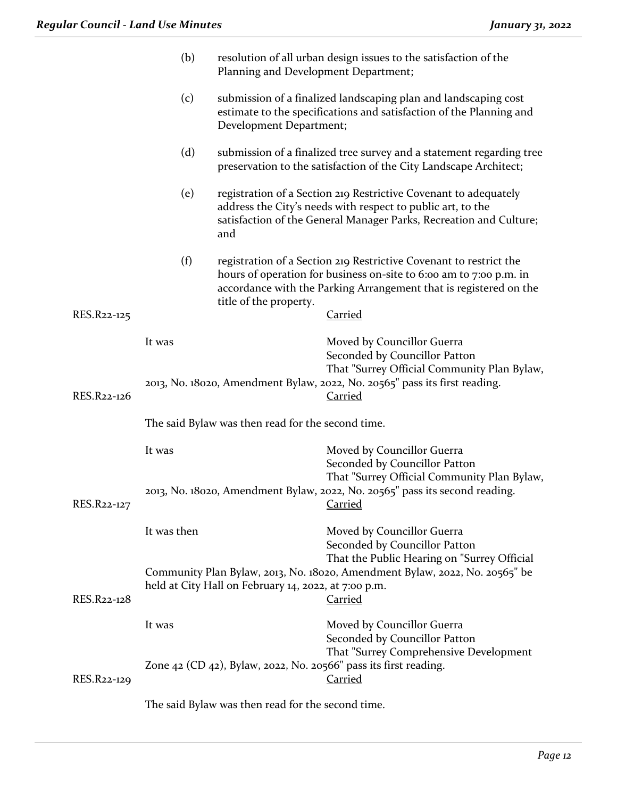|             | (b)<br>Planning and Development Department;                                                                                                  |                                                      | resolution of all urban design issues to the satisfaction of the                                                                                                                                                         |  |
|-------------|----------------------------------------------------------------------------------------------------------------------------------------------|------------------------------------------------------|--------------------------------------------------------------------------------------------------------------------------------------------------------------------------------------------------------------------------|--|
|             | (c)                                                                                                                                          | Development Department;                              | submission of a finalized landscaping plan and landscaping cost<br>estimate to the specifications and satisfaction of the Planning and                                                                                   |  |
|             | (d)                                                                                                                                          |                                                      | submission of a finalized tree survey and a statement regarding tree<br>preservation to the satisfaction of the City Landscape Architect;                                                                                |  |
|             | (e)                                                                                                                                          | and                                                  | registration of a Section 219 Restrictive Covenant to adequately<br>address the City's needs with respect to public art, to the<br>satisfaction of the General Manager Parks, Recreation and Culture;                    |  |
| RES.R22-125 | (f)                                                                                                                                          | title of the property.                               | registration of a Section 219 Restrictive Covenant to restrict the<br>hours of operation for business on-site to 6:00 am to 7:00 p.m. in<br>accordance with the Parking Arrangement that is registered on the<br>Carried |  |
|             |                                                                                                                                              |                                                      |                                                                                                                                                                                                                          |  |
| RES.R22-126 | It was                                                                                                                                       |                                                      | Moved by Councillor Guerra<br>Seconded by Councillor Patton<br>That "Surrey Official Community Plan Bylaw,<br>2013, No. 18020, Amendment Bylaw, 2022, No. 20565" pass its first reading.<br><b>Carried</b>               |  |
|             | The said Bylaw was then read for the second time.                                                                                            |                                                      |                                                                                                                                                                                                                          |  |
|             | It was                                                                                                                                       |                                                      | Moved by Councillor Guerra<br>Seconded by Councillor Patton                                                                                                                                                              |  |
| RES.R22-127 | That "Surrey Official Community Plan Bylaw,<br>2013, No. 18020, Amendment Bylaw, 2022, No. 20565" pass its second reading.<br><u>Carried</u> |                                                      |                                                                                                                                                                                                                          |  |
|             | It was then                                                                                                                                  |                                                      | Moved by Councillor Guerra<br>Seconded by Councillor Patton                                                                                                                                                              |  |
| RES.R22-128 |                                                                                                                                              | held at City Hall on February 14, 2022, at 7:00 p.m. | That the Public Hearing on "Surrey Official<br>Community Plan Bylaw, 2013, No. 18020, Amendment Bylaw, 2022, No. 20565" be<br><b>Carried</b>                                                                             |  |
|             | It was                                                                                                                                       |                                                      | Moved by Councillor Guerra<br>Seconded by Councillor Patton                                                                                                                                                              |  |
| RES.R22-129 |                                                                                                                                              |                                                      | That "Surrey Comprehensive Development<br>Zone 42 (CD 42), Bylaw, 2022, No. 20566" pass its first reading.<br><b>Carried</b>                                                                                             |  |
|             | The said Bylaw was then read for the second time.                                                                                            |                                                      |                                                                                                                                                                                                                          |  |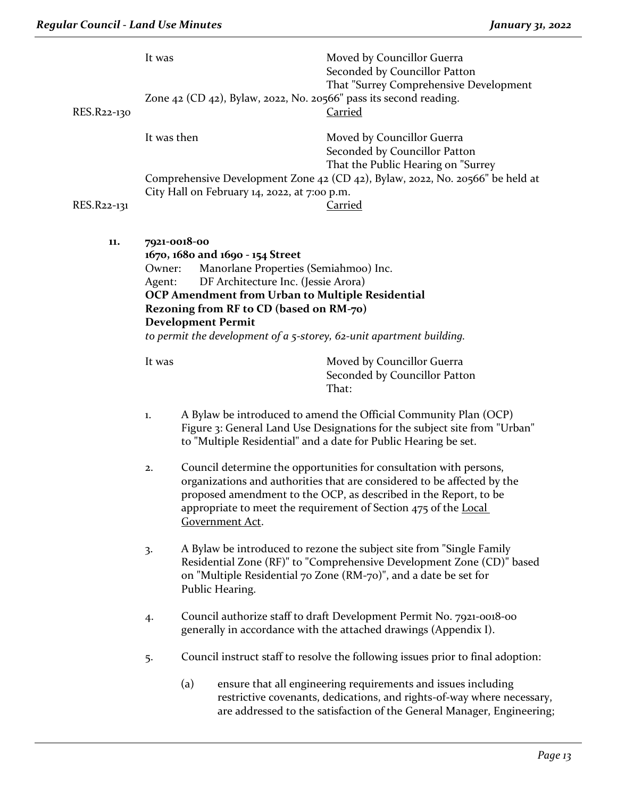|                                                                                                                                                                                                                                                                                                                                                                                                                                                                                                                                                             | It was                                                                                            |                                                                                                                                                                                                                                                       | Moved by Councillor Guerra<br>Seconded by Councillor Patton<br>That "Surrey Comprehensive Development                                                                                                             |
|-------------------------------------------------------------------------------------------------------------------------------------------------------------------------------------------------------------------------------------------------------------------------------------------------------------------------------------------------------------------------------------------------------------------------------------------------------------------------------------------------------------------------------------------------------------|---------------------------------------------------------------------------------------------------|-------------------------------------------------------------------------------------------------------------------------------------------------------------------------------------------------------------------------------------------------------|-------------------------------------------------------------------------------------------------------------------------------------------------------------------------------------------------------------------|
| RES.R22-130                                                                                                                                                                                                                                                                                                                                                                                                                                                                                                                                                 |                                                                                                   | Zone $42$ (CD $42$ ), Bylaw, 2022, No. 20566" pass its second reading.                                                                                                                                                                                | <b>Carried</b>                                                                                                                                                                                                    |
|                                                                                                                                                                                                                                                                                                                                                                                                                                                                                                                                                             | It was then                                                                                       |                                                                                                                                                                                                                                                       | Moved by Councillor Guerra<br>Seconded by Councillor Patton<br>That the Public Hearing on "Surrey                                                                                                                 |
|                                                                                                                                                                                                                                                                                                                                                                                                                                                                                                                                                             |                                                                                                   | City Hall on February 14, 2022, at 7:00 p.m.                                                                                                                                                                                                          | Comprehensive Development Zone 42 (CD 42), Bylaw, 2022, No. 20566" be held at                                                                                                                                     |
| RES.R22-131                                                                                                                                                                                                                                                                                                                                                                                                                                                                                                                                                 |                                                                                                   |                                                                                                                                                                                                                                                       | <b>Carried</b>                                                                                                                                                                                                    |
| 11.                                                                                                                                                                                                                                                                                                                                                                                                                                                                                                                                                         | 7921-0018-00<br>1670, 1680 and 1690 - 154 Street<br>Owner:<br>Agent:<br><b>Development Permit</b> | Manorlane Properties (Semiahmoo) Inc.<br>DF Architecture Inc. (Jessie Arora)<br>OCP Amendment from Urban to Multiple Residential<br>Rezoning from RF to CD (based on RM-70)<br>to permit the development of $a$ 5-storey, 62-unit apartment building. |                                                                                                                                                                                                                   |
|                                                                                                                                                                                                                                                                                                                                                                                                                                                                                                                                                             | It was                                                                                            |                                                                                                                                                                                                                                                       | Moved by Councillor Guerra<br>Seconded by Councillor Patton<br>That:                                                                                                                                              |
|                                                                                                                                                                                                                                                                                                                                                                                                                                                                                                                                                             | 1.                                                                                                |                                                                                                                                                                                                                                                       | A Bylaw be introduced to amend the Official Community Plan (OCP)<br>Figure 3: General Land Use Designations for the subject site from "Urban"<br>to "Multiple Residential" and a date for Public Hearing be set.  |
| Council determine the opportunities for consultation with persons,<br>2.<br>organizations and authorities that are considered to be affected by the<br>proposed amendment to the OCP, as described in the Report, to be<br>appropriate to meet the requirement of Section 475 of the Local<br>Government Act.<br>A Bylaw be introduced to rezone the subject site from "Single Family<br>3.<br>Residential Zone (RF)" to "Comprehensive Development Zone (CD)" based<br>on "Multiple Residential 70 Zone (RM-70)", and a date be set for<br>Public Hearing. |                                                                                                   |                                                                                                                                                                                                                                                       |                                                                                                                                                                                                                   |
|                                                                                                                                                                                                                                                                                                                                                                                                                                                                                                                                                             |                                                                                                   |                                                                                                                                                                                                                                                       |                                                                                                                                                                                                                   |
|                                                                                                                                                                                                                                                                                                                                                                                                                                                                                                                                                             | 4.                                                                                                |                                                                                                                                                                                                                                                       | Council authorize staff to draft Development Permit No. 7921-0018-00<br>generally in accordance with the attached drawings (Appendix I).                                                                          |
|                                                                                                                                                                                                                                                                                                                                                                                                                                                                                                                                                             | 5.                                                                                                |                                                                                                                                                                                                                                                       | Council instruct staff to resolve the following issues prior to final adoption:                                                                                                                                   |
|                                                                                                                                                                                                                                                                                                                                                                                                                                                                                                                                                             |                                                                                                   | (a)                                                                                                                                                                                                                                                   | ensure that all engineering requirements and issues including<br>restrictive covenants, dedications, and rights-of-way where necessary,<br>are addressed to the satisfaction of the General Manager, Engineering; |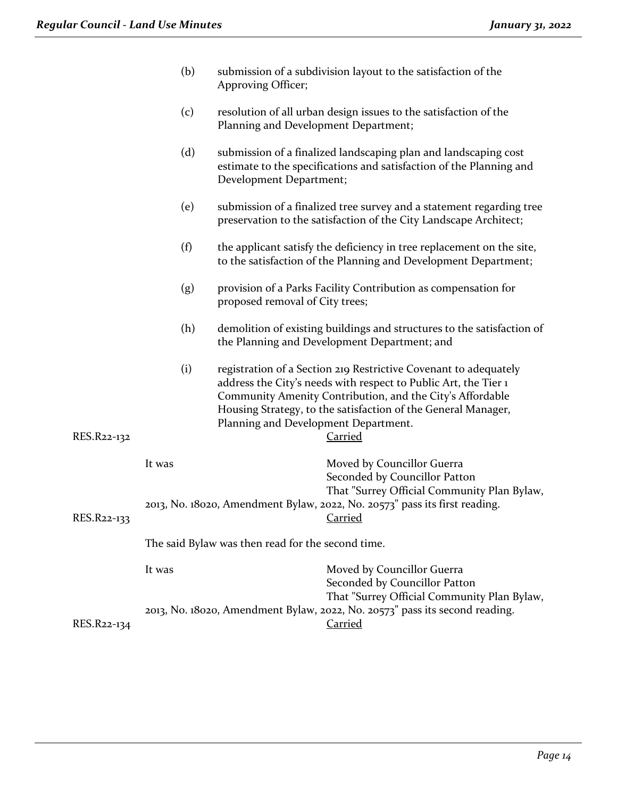|             | (b)    | Approving Officer;                                | submission of a subdivision layout to the satisfaction of the                                                                                                                                                                                                                       |
|-------------|--------|---------------------------------------------------|-------------------------------------------------------------------------------------------------------------------------------------------------------------------------------------------------------------------------------------------------------------------------------------|
|             | (c)    | Planning and Development Department;              | resolution of all urban design issues to the satisfaction of the                                                                                                                                                                                                                    |
|             | (d)    | Development Department;                           | submission of a finalized landscaping plan and landscaping cost<br>estimate to the specifications and satisfaction of the Planning and                                                                                                                                              |
|             | (e)    |                                                   | submission of a finalized tree survey and a statement regarding tree<br>preservation to the satisfaction of the City Landscape Architect;                                                                                                                                           |
|             | (f)    |                                                   | the applicant satisfy the deficiency in tree replacement on the site,<br>to the satisfaction of the Planning and Development Department;                                                                                                                                            |
|             | (g)    | proposed removal of City trees;                   | provision of a Parks Facility Contribution as compensation for                                                                                                                                                                                                                      |
|             | (h)    |                                                   | demolition of existing buildings and structures to the satisfaction of<br>the Planning and Development Department; and                                                                                                                                                              |
| RES.R22-132 | (i)    | Planning and Development Department.              | registration of a Section 219 Restrictive Covenant to adequately<br>address the City's needs with respect to Public Art, the Tier 1<br>Community Amenity Contribution, and the City's Affordable<br>Housing Strategy, to the satisfaction of the General Manager,<br><b>Carried</b> |
|             | It was |                                                   | Moved by Councillor Guerra<br>Seconded by Councillor Patton<br>That "Surrey Official Community Plan Bylaw,                                                                                                                                                                          |
| RES.R22-133 |        |                                                   | 2013, No. 18020, Amendment Bylaw, 2022, No. 20573" pass its first reading.<br><u>Carried</u>                                                                                                                                                                                        |
|             |        | The said Bylaw was then read for the second time. |                                                                                                                                                                                                                                                                                     |
|             | It was |                                                   | Moved by Councillor Guerra<br>Seconded by Councillor Patton<br>That "Surrey Official Community Plan Bylaw,                                                                                                                                                                          |
| RES.R22-134 |        |                                                   | 2013, No. 18020, Amendment Bylaw, 2022, No. 20573" pass its second reading.<br><b>Carried</b>                                                                                                                                                                                       |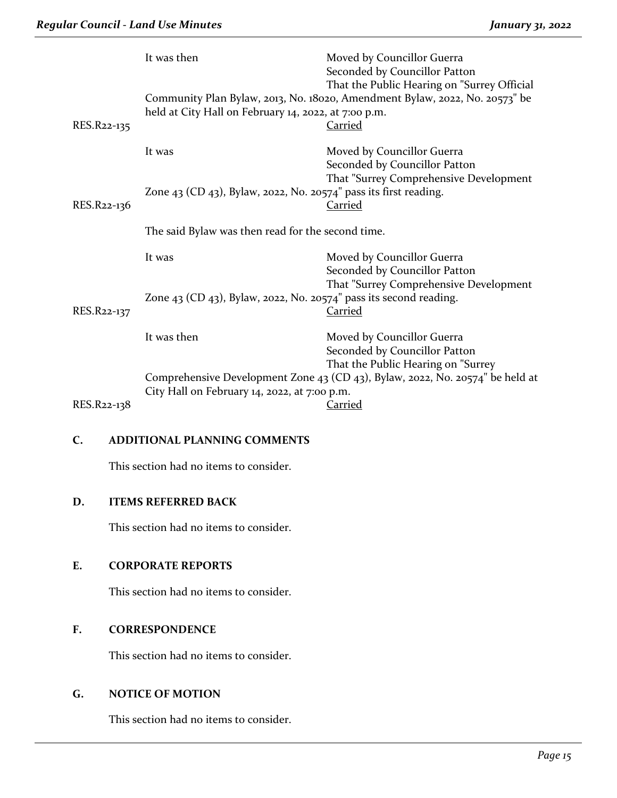| RES.R22-135 | It was then<br>held at City Hall on February 14, 2022, at 7:00 p.m.                                                 | Moved by Councillor Guerra<br>Seconded by Councillor Patton<br>That the Public Hearing on "Surrey Official<br>Community Plan Bylaw, 2013, No. 18020, Amendment Bylaw, 2022, No. 20573" be<br>Carried |
|-------------|---------------------------------------------------------------------------------------------------------------------|------------------------------------------------------------------------------------------------------------------------------------------------------------------------------------------------------|
|             | It was                                                                                                              | Moved by Councillor Guerra<br>Seconded by Councillor Patton<br>That "Surrey Comprehensive Development                                                                                                |
| RES.R22-136 | Zone 43 (CD 43), Bylaw, 2022, No. 20574" pass its first reading.                                                    | <b>Carried</b>                                                                                                                                                                                       |
|             | The said Bylaw was then read for the second time.                                                                   |                                                                                                                                                                                                      |
|             | It was                                                                                                              | Moved by Councillor Guerra<br>Seconded by Councillor Patton                                                                                                                                          |
| RES.R22-137 | Zone $43$ (CD $43$ ), Bylaw, 2022, No. 20574" pass its second reading.                                              | That "Surrey Comprehensive Development<br><b>Carried</b>                                                                                                                                             |
|             | It was then                                                                                                         | Moved by Councillor Guerra<br>Seconded by Councillor Patton                                                                                                                                          |
|             | That the Public Hearing on "Surrey<br>Comprehensive Development Zone 43 (CD 43), Bylaw, 2022, No. 20574" be held at |                                                                                                                                                                                                      |
|             | City Hall on February 14, 2022, at 7:00 p.m.                                                                        |                                                                                                                                                                                                      |
| RES.R22-138 |                                                                                                                     | Carried                                                                                                                                                                                              |

# **C. ADDITIONAL PLANNING COMMENTS**

This section had no items to consider.

# **D. ITEMS REFERRED BACK**

This section had no items to consider.

# **E. CORPORATE REPORTS**

This section had no items to consider.

# **F. CORRESPONDENCE**

This section had no items to consider.

# **G. NOTICE OF MOTION**

This section had no items to consider.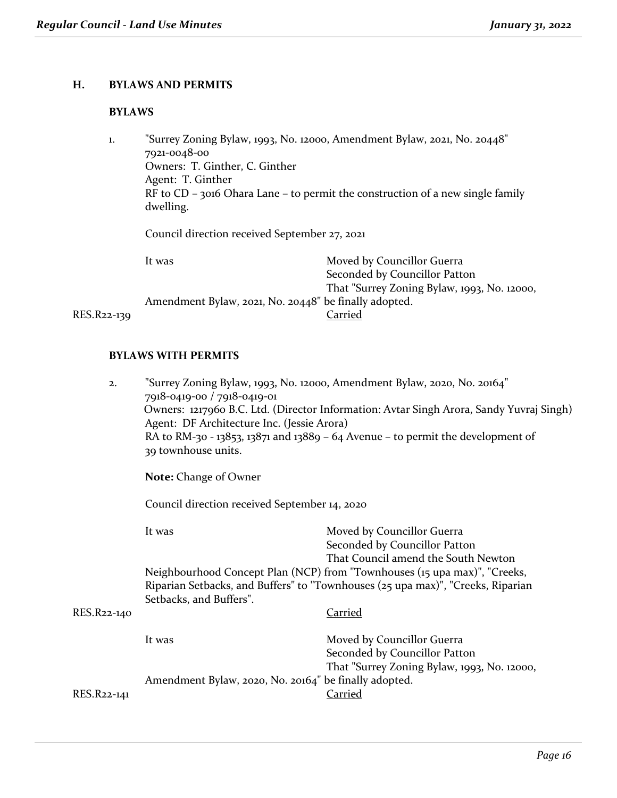# **H. BYLAWS AND PERMITS**

## **BYLAWS**

| 1. | "Surrey Zoning Bylaw, 1993, No. 12000, Amendment Bylaw, 2021, No. 20448"<br>7921-0048-00<br>Owners: T. Ginther, C. Ginther<br>Agent: T. Ginther<br>RF to $CD$ – 3016 Ohara Lane – to permit the construction of a new single family<br>dwelling. |                                                             |  |
|----|--------------------------------------------------------------------------------------------------------------------------------------------------------------------------------------------------------------------------------------------------|-------------------------------------------------------------|--|
|    | Council direction received September 27, 2021                                                                                                                                                                                                    |                                                             |  |
|    | It was                                                                                                                                                                                                                                           | Moved by Councillor Guerra<br>Seconded by Councillor Patton |  |

That "Surrey Zoning Bylaw, 1993, No. 12000, Amendment Bylaw, 2021, No. 20448" be finally adopted.<br>Carried

RES.R22-139

## **BYLAWS WITH PERMITS**

| 2.                      | "Surrey Zoning Bylaw, 1993, No. 12000, Amendment Bylaw, 2020, No. 20164"<br>7918-0419-00 / 7918-0419-01<br>Owners: 1217960 B.C. Ltd. (Director Information: Avtar Singh Arora, Sandy Yuvraj Singh)<br>Agent: DF Architecture Inc. (Jessie Arora)<br>RA to RM-30 - 13853, 13871 and 13889 - 64 Avenue - to permit the development of<br>39 townhouse units. |                                                                                                                                                              |  |
|-------------------------|------------------------------------------------------------------------------------------------------------------------------------------------------------------------------------------------------------------------------------------------------------------------------------------------------------------------------------------------------------|--------------------------------------------------------------------------------------------------------------------------------------------------------------|--|
|                         |                                                                                                                                                                                                                                                                                                                                                            |                                                                                                                                                              |  |
|                         | Council direction received September 14, 2020                                                                                                                                                                                                                                                                                                              |                                                                                                                                                              |  |
|                         | It was                                                                                                                                                                                                                                                                                                                                                     | Moved by Councillor Guerra<br>Seconded by Councillor Patton<br>That Council amend the South Newton                                                           |  |
| Setbacks, and Buffers". |                                                                                                                                                                                                                                                                                                                                                            | Neighbourhood Concept Plan (NCP) from "Townhouses (15 upa max)", "Creeks,<br>Riparian Setbacks, and Buffers" to "Townhouses (25 upa max)", "Creeks, Riparian |  |
| RES.R22-140             |                                                                                                                                                                                                                                                                                                                                                            | <b>Carried</b>                                                                                                                                               |  |
|                         | It was                                                                                                                                                                                                                                                                                                                                                     | Moved by Councillor Guerra<br>Seconded by Councillor Patton<br>That "Surrey Zoning Bylaw, 1993, No. 12000,                                                   |  |
| RES.R22-141             | Amendment Bylaw, 2020, No. 20164" be finally adopted.                                                                                                                                                                                                                                                                                                      | <u>Carried</u>                                                                                                                                               |  |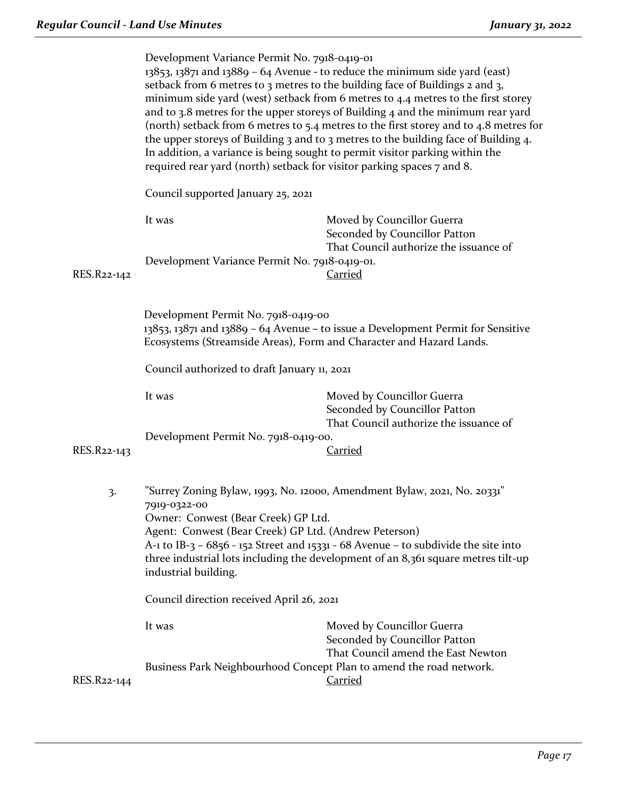|             | Development Variance Permit No. 7918-0419-01<br>$13853$ , $13871$ and $13889 - 64$ Avenue - to reduce the minimum side yard (east)<br>setback from 6 metres to 3 metres to the building face of Buildings 2 and 3,<br>minimum side yard (west) setback from 6 metres to 4.4 metres to the first storey<br>and to 3.8 metres for the upper storeys of Building 4 and the minimum rear yard<br>(north) setback from 6 metres to 5.4 metres to the first storey and to 4.8 metres for<br>the upper storeys of Building 3 and to 3 metres to the building face of Building 4.<br>In addition, a variance is being sought to permit visitor parking within the<br>required rear yard (north) setback for visitor parking spaces 7 and 8.<br>Council supported January 25, 2021 |                                                                                                       |  |
|-------------|---------------------------------------------------------------------------------------------------------------------------------------------------------------------------------------------------------------------------------------------------------------------------------------------------------------------------------------------------------------------------------------------------------------------------------------------------------------------------------------------------------------------------------------------------------------------------------------------------------------------------------------------------------------------------------------------------------------------------------------------------------------------------|-------------------------------------------------------------------------------------------------------|--|
|             |                                                                                                                                                                                                                                                                                                                                                                                                                                                                                                                                                                                                                                                                                                                                                                           |                                                                                                       |  |
|             | It was                                                                                                                                                                                                                                                                                                                                                                                                                                                                                                                                                                                                                                                                                                                                                                    | Moved by Councillor Guerra<br>Seconded by Councillor Patton<br>That Council authorize the issuance of |  |
| RES.R22-142 | Development Variance Permit No. 7918-0419-01.                                                                                                                                                                                                                                                                                                                                                                                                                                                                                                                                                                                                                                                                                                                             | <b>Carried</b>                                                                                        |  |
|             | Development Permit No. 7918-0419-00<br>13853, 13871 and 13889 - 64 Avenue - to issue a Development Permit for Sensitive<br>Ecosystems (Streamside Areas), Form and Character and Hazard Lands.<br>Council authorized to draft January 11, 2021                                                                                                                                                                                                                                                                                                                                                                                                                                                                                                                            |                                                                                                       |  |
|             |                                                                                                                                                                                                                                                                                                                                                                                                                                                                                                                                                                                                                                                                                                                                                                           |                                                                                                       |  |
|             | It was                                                                                                                                                                                                                                                                                                                                                                                                                                                                                                                                                                                                                                                                                                                                                                    | Moved by Councillor Guerra<br>Seconded by Councillor Patton<br>That Council authorize the issuance of |  |
| RES.R22-143 | Development Permit No. 7918-0419-00.<br><b>Carried</b>                                                                                                                                                                                                                                                                                                                                                                                                                                                                                                                                                                                                                                                                                                                    |                                                                                                       |  |
| 3.          | "Surrey Zoning Bylaw, 1993, No. 12000, Amendment Bylaw, 2021, No. 20331"<br>7919-0322-00<br>Owner: Conwest (Bear Creek) GP Ltd.<br>Agent: Conwest (Bear Creek) GP Ltd. (Andrew Peterson)<br>A-1 to IB-3 – $6856$ - 152 Street and 15331 - 68 Avenue – to subdivide the site into<br>three industrial lots including the development of an 8,361 square metres tilt-up<br>industrial building.<br>Council direction received April 26, 2021                                                                                                                                                                                                                                                                                                                                |                                                                                                       |  |
|             |                                                                                                                                                                                                                                                                                                                                                                                                                                                                                                                                                                                                                                                                                                                                                                           |                                                                                                       |  |
|             | It was                                                                                                                                                                                                                                                                                                                                                                                                                                                                                                                                                                                                                                                                                                                                                                    | Moved by Councillor Guerra<br>Seconded by Councillor Patton<br>That Council amend the East Newton     |  |
| RES.R22-144 | Business Park Neighbourhood Concept Plan to amend the road network.                                                                                                                                                                                                                                                                                                                                                                                                                                                                                                                                                                                                                                                                                                       | <b>Carried</b>                                                                                        |  |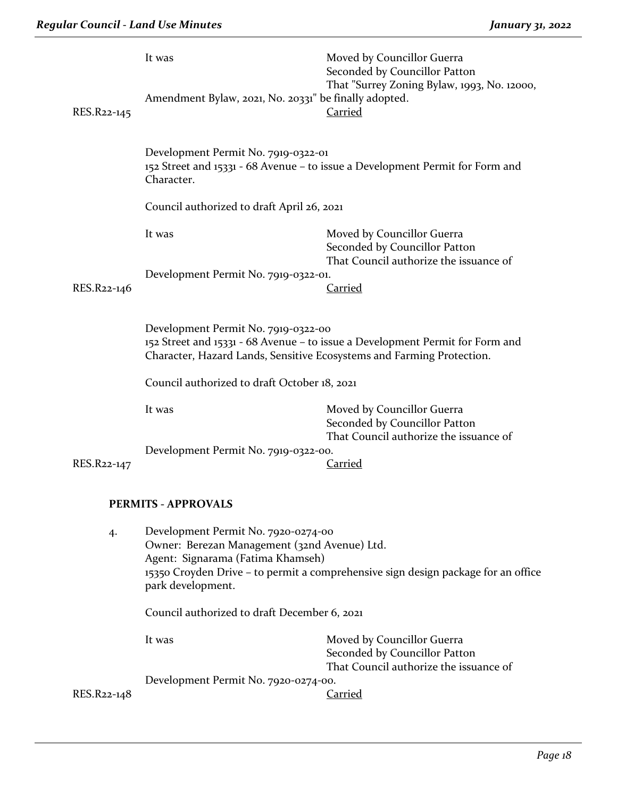|                                                                                                                                                                                               | It was                                                                                                                                                                                                                             | Moved by Councillor Guerra<br>Seconded by Councillor Patton                                           |  |  |
|-----------------------------------------------------------------------------------------------------------------------------------------------------------------------------------------------|------------------------------------------------------------------------------------------------------------------------------------------------------------------------------------------------------------------------------------|-------------------------------------------------------------------------------------------------------|--|--|
| RES.R22-145                                                                                                                                                                                   | Amendment Bylaw, 2021, No. 20331" be finally adopted.                                                                                                                                                                              | That "Surrey Zoning Bylaw, 1993, No. 12000,<br><b>Carried</b>                                         |  |  |
|                                                                                                                                                                                               | Development Permit No. 7919-0322-01<br>152 Street and 15331 - 68 Avenue - to issue a Development Permit for Form and<br>Character.                                                                                                 |                                                                                                       |  |  |
|                                                                                                                                                                                               | Council authorized to draft April 26, 2021                                                                                                                                                                                         |                                                                                                       |  |  |
|                                                                                                                                                                                               | It was                                                                                                                                                                                                                             | Moved by Councillor Guerra<br>Seconded by Councillor Patton<br>That Council authorize the issuance of |  |  |
| RES.R22-146                                                                                                                                                                                   | Development Permit No. 7919-0322-01.                                                                                                                                                                                               | Carried                                                                                               |  |  |
| Development Permit No. 7919-0322-00<br>152 Street and 15331 - 68 Avenue - to issue a Development Permit for Form and<br>Character, Hazard Lands, Sensitive Ecosystems and Farming Protection. |                                                                                                                                                                                                                                    |                                                                                                       |  |  |
|                                                                                                                                                                                               | Council authorized to draft October 18, 2021                                                                                                                                                                                       |                                                                                                       |  |  |
|                                                                                                                                                                                               | It was                                                                                                                                                                                                                             | Moved by Councillor Guerra<br>Seconded by Councillor Patton<br>That Council authorize the issuance of |  |  |
| RES.R22-147                                                                                                                                                                                   | Development Permit No. 7919-0322-00.                                                                                                                                                                                               | Carried                                                                                               |  |  |
| <b>PERMITS - APPROVALS</b>                                                                                                                                                                    |                                                                                                                                                                                                                                    |                                                                                                       |  |  |
| 4.                                                                                                                                                                                            | Development Permit No. 7920-0274-00<br>Owner: Berezan Management (32nd Avenue) Ltd.<br>Agent: Signarama (Fatima Khamseh)<br>15350 Croyden Drive - to permit a comprehensive sign design package for an office<br>park development. |                                                                                                       |  |  |
|                                                                                                                                                                                               | Council authorized to draft December 6, 2021                                                                                                                                                                                       |                                                                                                       |  |  |
|                                                                                                                                                                                               | It was                                                                                                                                                                                                                             | Moved by Councillor Guerra<br>Seconded by Councillor Patton<br>That Council authorize the issuance of |  |  |
| Development Permit No. 7920-0274-00.                                                                                                                                                          |                                                                                                                                                                                                                                    |                                                                                                       |  |  |
| RES.R22-148                                                                                                                                                                                   |                                                                                                                                                                                                                                    | <b>Carried</b>                                                                                        |  |  |